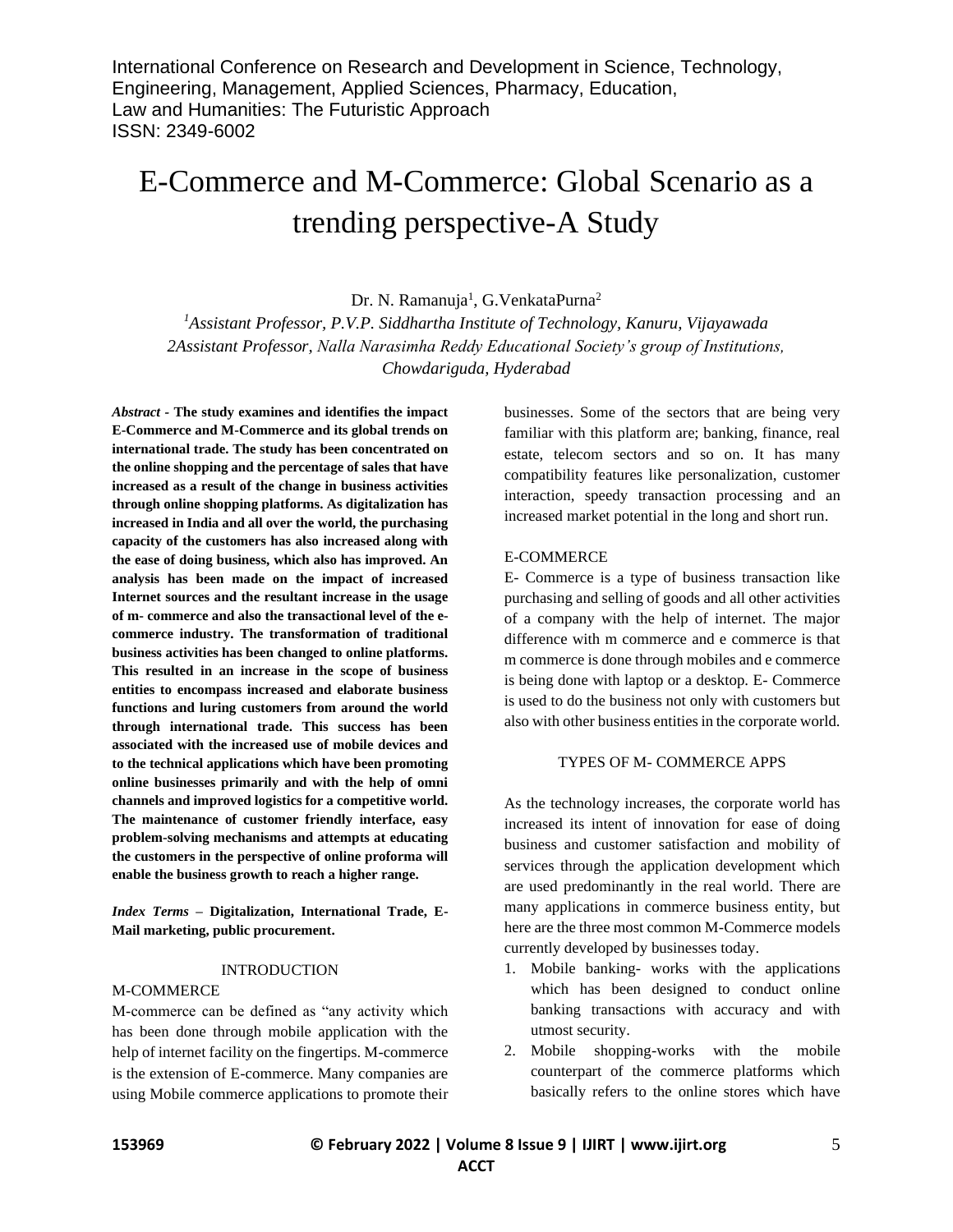# E-Commerce and M-Commerce: Global Scenario as a trending perspective-A Study

Dr. N. Ramanuja<sup>1</sup>, G. VenkataPurna<sup>2</sup>

*<sup>1</sup>Assistant Professor, P.V.P. Siddhartha Institute of Technology, Kanuru, Vijayawada 2Assistant Professor, Nalla Narasimha Reddy Educational Society's group of Institutions, Chowdariguda, Hyderabad*

*Abstract -* **The study examines and identifies the impact E-Commerce and M-Commerce and its global trends on international trade. The study has been concentrated on the online shopping and the percentage of sales that have increased as a result of the change in business activities through online shopping platforms. As digitalization has increased in India and all over the world, the purchasing capacity of the customers has also increased along with the ease of doing business, which also has improved. An analysis has been made on the impact of increased Internet sources and the resultant increase in the usage of m- commerce and also the transactional level of the ecommerce industry. The transformation of traditional business activities has been changed to online platforms. This resulted in an increase in the scope of business entities to encompass increased and elaborate business functions and luring customers from around the world through international trade. This success has been associated with the increased use of mobile devices and to the technical applications which have been promoting online businesses primarily and with the help of omni channels and improved logistics for a competitive world. The maintenance of customer friendly interface, easy problem-solving mechanisms and attempts at educating the customers in the perspective of online proforma will enable the business growth to reach a higher range.**

*Index Terms –* **Digitalization, International Trade, E-Mail marketing, public procurement.**

### INTRODUCTION

### M-COMMERCE

M-commerce can be defined as "any activity which has been done through mobile application with the help of internet facility on the fingertips. M-commerce is the extension of E-commerce. Many companies are using Mobile commerce applications to promote their businesses. Some of the sectors that are being very familiar with this platform are; banking, finance, real estate, telecom sectors and so on. It has many compatibility features like personalization, customer interaction, speedy transaction processing and an increased market potential in the long and short run.

### E-COMMERCE

E- Commerce is a type of business transaction like purchasing and selling of goods and all other activities of a company with the help of internet. The major difference with m commerce and e commerce is that m commerce is done through mobiles and e commerce is being done with laptop or a desktop. E- Commerce is used to do the business not only with customers but also with other business entities in the corporate world.

### TYPES OF M- COMMERCE APPS

As the technology increases, the corporate world has increased its intent of innovation for ease of doing business and customer satisfaction and mobility of services through the application development which are used predominantly in the real world. There are many applications in commerce business entity, but here are the three most common M-Commerce models currently developed by businesses today.

- 1. Mobile banking- works with the applications which has been designed to conduct online banking transactions with accuracy and with utmost security.
- 2. Mobile shopping-works with the mobile counterpart of the commerce platforms which basically refers to the online stores which have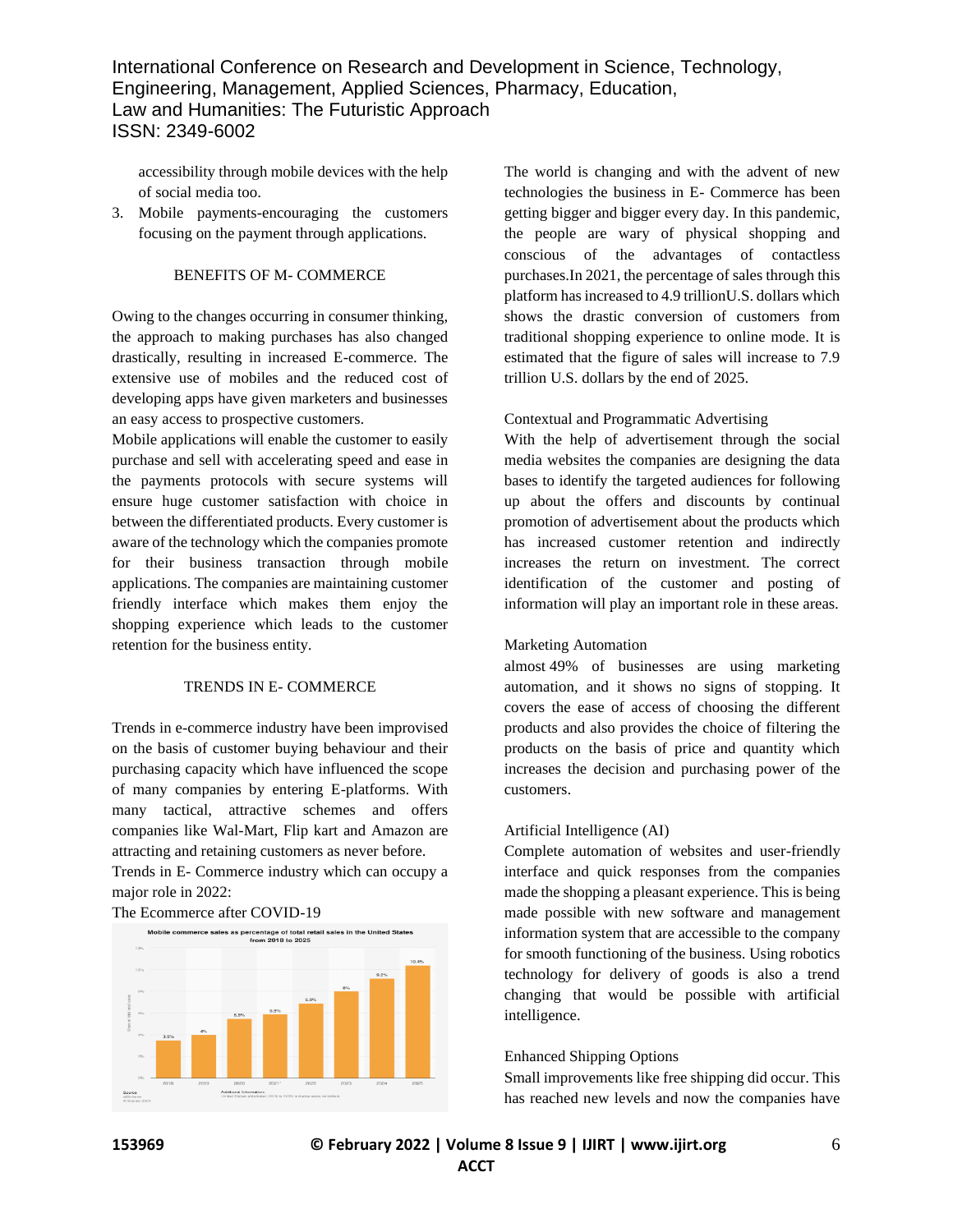accessibility through mobile devices with the help of social media too.

3. Mobile payments-encouraging the customers focusing on the payment through applications.

# BENEFITS OF M- COMMERCE

Owing to the changes occurring in consumer thinking, the approach to making purchases has also changed drastically, resulting in increased E-commerce. The extensive use of mobiles and the reduced cost of developing apps have given marketers and businesses an easy access to prospective customers.

Mobile applications will enable the customer to easily purchase and sell with accelerating speed and ease in the payments protocols with secure systems will ensure huge customer satisfaction with choice in between the differentiated products. Every customer is aware of the technology which the companies promote for their business transaction through mobile applications. The companies are maintaining customer friendly interface which makes them enjoy the shopping experience which leads to the customer retention for the business entity.

### TRENDS IN E- COMMERCE

Trends in e-commerce industry have been improvised on the basis of customer buying behaviour and their purchasing capacity which have influenced the scope of many companies by entering E-platforms. With many tactical, attractive schemes and offers companies like Wal-Mart, Flip kart and Amazon are attracting and retaining customers as never before. Trends in E- Commerce industry which can occupy a

major role in 2022:

The Ecommerce after COVID-19



The world is changing and with the advent of new technologies the business in E- Commerce has been getting bigger and bigger every day. In this pandemic, the people are wary of physical shopping and conscious of the advantages of contactless purchases.In 2021, the percentage of sales through this platform has increased to 4.9 trillionU.S. dollars which shows the drastic conversion of customers from traditional shopping experience to online mode. It is estimated that the figure of sales will increase to 7.9 trillion U.S. dollars by the end of 2025.

### Contextual and Programmatic Advertising

With the help of advertisement through the social media websites the companies are designing the data bases to identify the targeted audiences for following up about the offers and discounts by continual promotion of advertisement about the products which has increased customer retention and indirectly increases the return on investment. The correct identification of the customer and posting of information will play an important role in these areas.

#### Marketing Automation

almost 49% of businesses are using marketing automation, and it shows no signs of stopping. It covers the ease of access of choosing the different products and also provides the choice of filtering the products on the basis of price and quantity which increases the decision and purchasing power of the customers.

### Artificial Intelligence (AI)

Complete automation of websites and user-friendly interface and quick responses from the companies made the shopping a pleasant experience. This is being made possible with new software and management information system that are accessible to the company for smooth functioning of the business. Using robotics technology for delivery of goods is also a trend changing that would be possible with artificial intelligence.

### Enhanced Shipping Options

Small improvements like free shipping did occur. This has reached new levels and now the companies have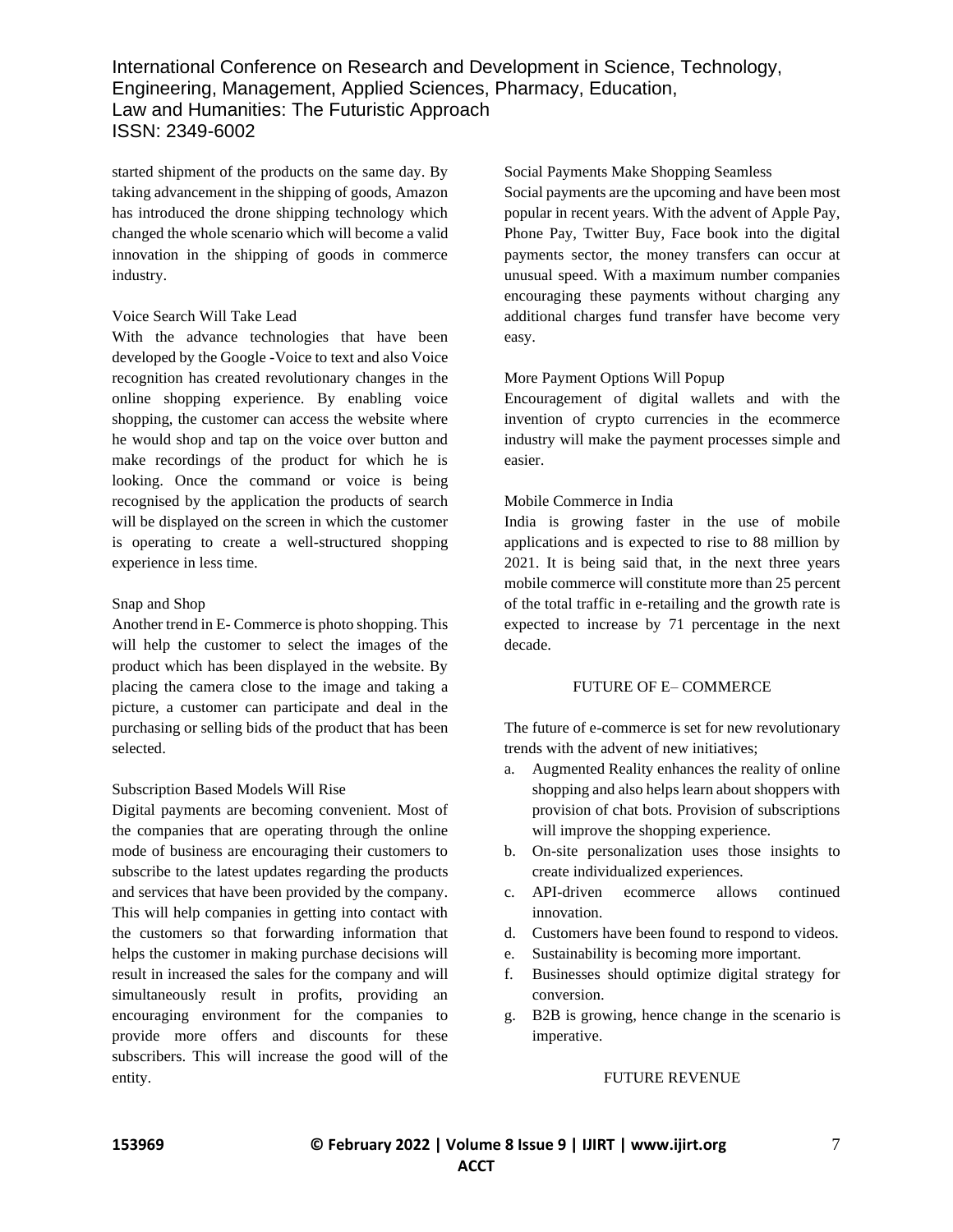started shipment of the products on the same day. By taking advancement in the shipping of goods, Amazon has introduced the drone shipping technology which changed the whole scenario which will become a valid innovation in the shipping of goods in commerce industry.

## Voice Search Will Take Lead

With the advance technologies that have been developed by the Google -Voice to text and also Voice recognition has created revolutionary changes in the online shopping experience. By enabling voice shopping, the customer can access the website where he would shop and tap on the voice over button and make recordings of the product for which he is looking. Once the command or voice is being recognised by the application the products of search will be displayed on the screen in which the customer is operating to create a well-structured shopping experience in less time.

## Snap and Shop

Another trend in E- Commerce is photo shopping. This will help the customer to select the images of the product which has been displayed in the website. By placing the camera close to the image and taking a picture, a customer can participate and deal in the purchasing or selling bids of the product that has been selected.

# Subscription Based Models Will Rise

Digital payments are becoming convenient. Most of the companies that are operating through the online mode of business are encouraging their customers to subscribe to the latest updates regarding the products and services that have been provided by the company. This will help companies in getting into contact with the customers so that forwarding information that helps the customer in making purchase decisions will result in increased the sales for the company and will simultaneously result in profits, providing an encouraging environment for the companies to provide more offers and discounts for these subscribers. This will increase the good will of the entity.

Social Payments Make Shopping Seamless

Social payments are the upcoming and have been most popular in recent years. With the advent of Apple Pay, Phone Pay, Twitter Buy, Face book into the digital payments sector, the money transfers can occur at unusual speed. With a maximum number companies encouraging these payments without charging any additional charges fund transfer have become very easy.

# More Payment Options Will Popup

Encouragement of digital wallets and with the invention of crypto currencies in the ecommerce industry will make the payment processes simple and easier.

## Mobile Commerce in India

India is growing faster in the use of mobile applications and is expected to rise to 88 million by 2021. It is being said that, in the next three years mobile commerce will constitute more than 25 percent of the total traffic in e-retailing and the growth rate is expected to increase by 71 percentage in the next decade.

### FUTURE OF E– COMMERCE

The future of e-commerce is set for new revolutionary trends with the advent of new initiatives;

- a. Augmented Reality enhances the reality of online shopping and also helps learn about shoppers with provision of chat bots. Provision of subscriptions will improve the shopping experience.
- b. On-site personalization uses those insights to create individualized experiences.
- c. API-driven ecommerce allows continued innovation.
- d. Customers have been found to respond to videos.
- e. Sustainability is becoming more important.
- f. Businesses should optimize digital strategy for conversion.
- g. B2B is growing, hence change in the scenario is imperative.

### FUTURE REVENUE